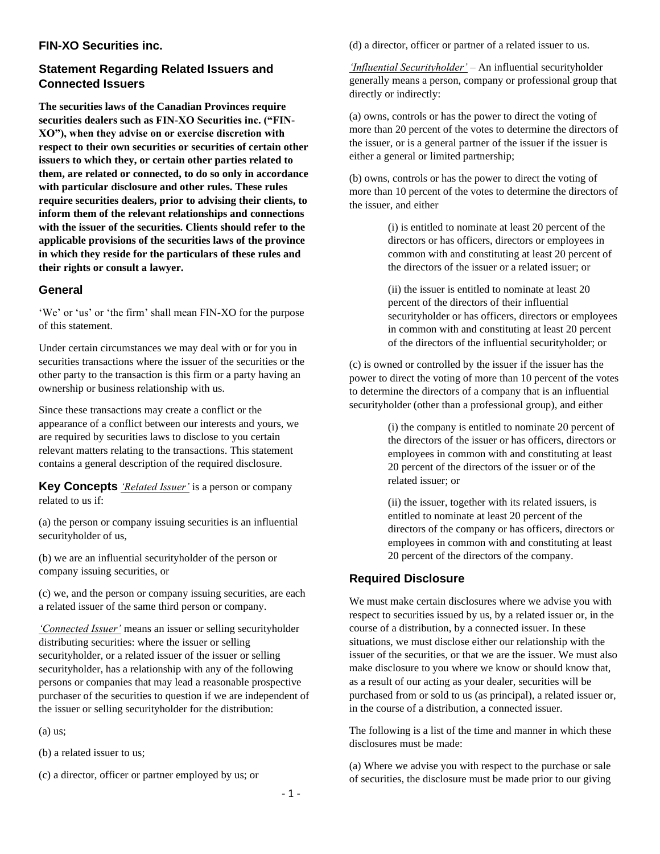## **FIN-XO Securities inc.**

# **Statement Regarding Related Issuers and Connected Issuers**

**The securities laws of the Canadian Provinces require securities dealers such as FIN-XO Securities inc. ("FIN-XO"), when they advise on or exercise discretion with respect to their own securities or securities of certain other issuers to which they, or certain other parties related to them, are related or connected, to do so only in accordance with particular disclosure and other rules. These rules require securities dealers, prior to advising their clients, to inform them of the relevant relationships and connections with the issuer of the securities. Clients should refer to the applicable provisions of the securities laws of the province in which they reside for the particulars of these rules and their rights or consult a lawyer.** 

## **General**

'We' or 'us' or 'the firm' shall mean FIN-XO for the purpose of this statement.

Under certain circumstances we may deal with or for you in securities transactions where the issuer of the securities or the other party to the transaction is this firm or a party having an ownership or business relationship with us.

Since these transactions may create a conflict or the appearance of a conflict between our interests and yours, we are required by securities laws to disclose to you certain relevant matters relating to the transactions. This statement contains a general description of the required disclosure.

**Key Concepts** *'Related Issuer'* is a person or company related to us if:

(a) the person or company issuing securities is an influential securityholder of us,

(b) we are an influential securityholder of the person or company issuing securities, or

(c) we, and the person or company issuing securities, are each a related issuer of the same third person or company.

*'Connected Issuer'* means an issuer or selling securityholder distributing securities: where the issuer or selling securityholder, or a related issuer of the issuer or selling securityholder, has a relationship with any of the following persons or companies that may lead a reasonable prospective purchaser of the securities to question if we are independent of the issuer or selling securityholder for the distribution:

(a) us;

(b) a related issuer to us;

(c) a director, officer or partner employed by us; or

(d) a director, officer or partner of a related issuer to us.

*'Influential Securityholder'* – An influential securityholder generally means a person, company or professional group that directly or indirectly:

(a) owns, controls or has the power to direct the voting of more than 20 percent of the votes to determine the directors of the issuer, or is a general partner of the issuer if the issuer is either a general or limited partnership;

(b) owns, controls or has the power to direct the voting of more than 10 percent of the votes to determine the directors of the issuer, and either

> (i) is entitled to nominate at least 20 percent of the directors or has officers, directors or employees in common with and constituting at least 20 percent of the directors of the issuer or a related issuer; or

(ii) the issuer is entitled to nominate at least 20 percent of the directors of their influential securityholder or has officers, directors or employees in common with and constituting at least 20 percent of the directors of the influential securityholder; or

(c) is owned or controlled by the issuer if the issuer has the power to direct the voting of more than 10 percent of the votes to determine the directors of a company that is an influential securityholder (other than a professional group), and either

> (i) the company is entitled to nominate 20 percent of the directors of the issuer or has officers, directors or employees in common with and constituting at least 20 percent of the directors of the issuer or of the related issuer; or

> (ii) the issuer, together with its related issuers, is entitled to nominate at least 20 percent of the directors of the company or has officers, directors or employees in common with and constituting at least 20 percent of the directors of the company.

# **Required Disclosure**

We must make certain disclosures where we advise you with respect to securities issued by us, by a related issuer or, in the course of a distribution, by a connected issuer. In these situations, we must disclose either our relationship with the issuer of the securities, or that we are the issuer. We must also make disclosure to you where we know or should know that, as a result of our acting as your dealer, securities will be purchased from or sold to us (as principal), a related issuer or, in the course of a distribution, a connected issuer.

The following is a list of the time and manner in which these disclosures must be made:

(a) Where we advise you with respect to the purchase or sale of securities, the disclosure must be made prior to our giving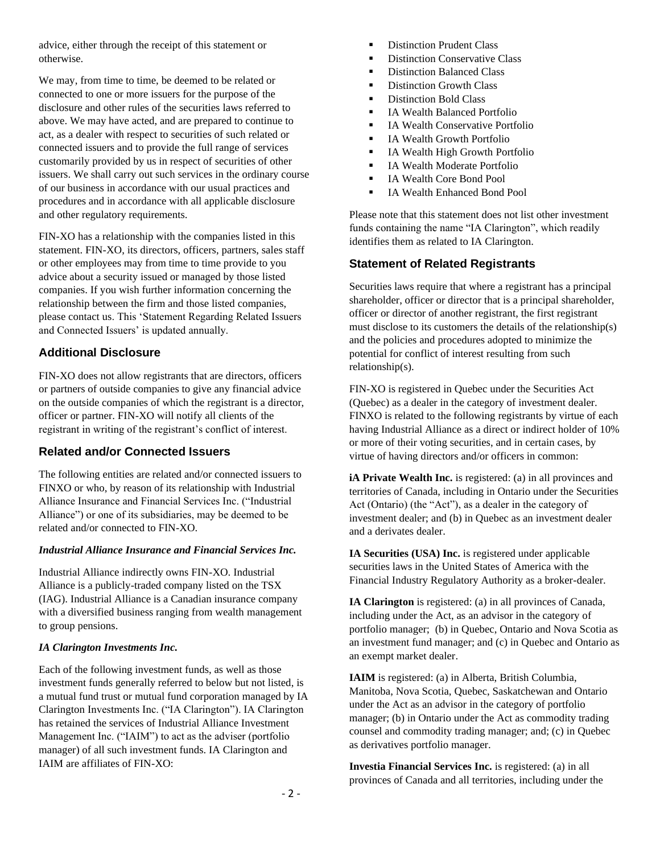advice, either through the receipt of this statement or otherwise.

We may, from time to time, be deemed to be related or connected to one or more issuers for the purpose of the disclosure and other rules of the securities laws referred to above. We may have acted, and are prepared to continue to act, as a dealer with respect to securities of such related or connected issuers and to provide the full range of services customarily provided by us in respect of securities of other issuers. We shall carry out such services in the ordinary course of our business in accordance with our usual practices and procedures and in accordance with all applicable disclosure and other regulatory requirements.

FIN-XO has a relationship with the companies listed in this statement. FIN-XO, its directors, officers, partners, sales staff or other employees may from time to time provide to you advice about a security issued or managed by those listed companies. If you wish further information concerning the relationship between the firm and those listed companies, please contact us. This 'Statement Regarding Related Issuers and Connected Issuers' is updated annually.

## **Additional Disclosure**

FIN-XO does not allow registrants that are directors, officers or partners of outside companies to give any financial advice on the outside companies of which the registrant is a director, officer or partner. FIN-XO will notify all clients of the registrant in writing of the registrant's conflict of interest.

## **Related and/or Connected Issuers**

The following entities are related and/or connected issuers to FINXO or who, by reason of its relationship with Industrial Alliance Insurance and Financial Services Inc. ("Industrial Alliance") or one of its subsidiaries, may be deemed to be related and/or connected to FIN-XO.

#### *Industrial Alliance Insurance and Financial Services Inc.*

Industrial Alliance indirectly owns FIN-XO. Industrial Alliance is a publicly-traded company listed on the TSX (IAG). Industrial Alliance is a Canadian insurance company with a diversified business ranging from wealth management to group pensions.

#### *IA Clarington Investments Inc.*

Each of the following investment funds, as well as those investment funds generally referred to below but not listed, is a mutual fund trust or mutual fund corporation managed by IA Clarington Investments Inc. ("IA Clarington"). IA Clarington has retained the services of Industrial Alliance Investment Management Inc. ("IAIM") to act as the adviser (portfolio manager) of all such investment funds. IA Clarington and IAIM are affiliates of FIN-XO:

- Distinction Prudent Class
- Distinction Conservative Class
- Distinction Balanced Class
- Distinction Growth Class
- Distinction Bold Class
- IA Wealth Balanced Portfolio
- IA Wealth Conservative Portfolio
- **■** IA Wealth Growth Portfolio
- IA Wealth High Growth Portfolio
- IA Wealth Moderate Portfolio
- IA Wealth Core Bond Pool
- IA Wealth Enhanced Bond Pool

Please note that this statement does not list other investment funds containing the name "IA Clarington", which readily identifies them as related to IA Clarington.

## **Statement of Related Registrants**

Securities laws require that where a registrant has a principal shareholder, officer or director that is a principal shareholder, officer or director of another registrant, the first registrant must disclose to its customers the details of the relationship(s) and the policies and procedures adopted to minimize the potential for conflict of interest resulting from such relationship(s).

FIN-XO is registered in Quebec under the Securities Act (Quebec) as a dealer in the category of investment dealer. FINXO is related to the following registrants by virtue of each having Industrial Alliance as a direct or indirect holder of 10% or more of their voting securities, and in certain cases, by virtue of having directors and/or officers in common:

**iA Private Wealth Inc.** is registered: (a) in all provinces and territories of Canada, including in Ontario under the Securities Act (Ontario) (the "Act"), as a dealer in the category of investment dealer; and (b) in Quebec as an investment dealer and a derivates dealer.

**IA Securities (USA) Inc.** is registered under applicable securities laws in the United States of America with the Financial Industry Regulatory Authority as a broker-dealer.

**IA Clarington** is registered: (a) in all provinces of Canada, including under the Act, as an advisor in the category of portfolio manager; (b) in Quebec, Ontario and Nova Scotia as an investment fund manager; and (c) in Quebec and Ontario as an exempt market dealer.

**IAIM** is registered: (a) in Alberta, British Columbia, Manitoba, Nova Scotia, Quebec, Saskatchewan and Ontario under the Act as an advisor in the category of portfolio manager; (b) in Ontario under the Act as commodity trading counsel and commodity trading manager; and; (c) in Quebec as derivatives portfolio manager.

**Investia Financial Services Inc.** is registered: (a) in all provinces of Canada and all territories, including under the